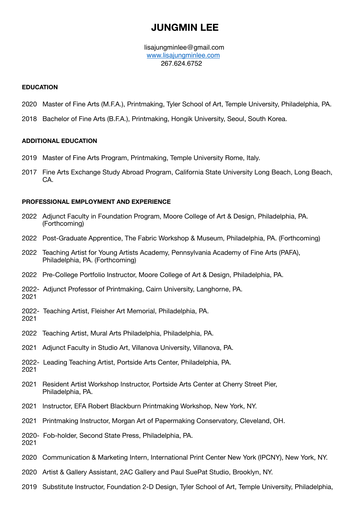# **JUNGMIN LEE**

 [lisajungminlee@gmail.com](mailto:jungminlee1994@gmail.com) [www.lisajungminlee.com](http://www.lisajungminlee.com) 267.624.6752

## **EDUCATION**

- 2020 Master of Fine Arts (M.F.A.), Printmaking, Tyler School of Art, Temple University, Philadelphia, PA.
- . 2018 Bachelor of Fine Arts (B.F.A.), Printmaking, Hongik University, Seoul, South Korea.

# **ADDITIONAL EDUCATION**

- 2019 Master of Fine Arts Program, Printmaking, Temple University Rome, Italy.
- 2017 Fine Arts Exchange Study Abroad Program, California State University Long Beach, Long Beach, CA.

# **PROFESSIONAL EMPLOYMENT AND EXPERIENCE**

- 2022 Adjunct Faculty in Foundation Program, Moore College of Art & Design, Philadelphia, PA. (Forthcoming)
- 2022 Post-Graduate Apprentice, The Fabric Workshop & Museum, Philadelphia, PA. (Forthcoming)
- 2022 Teaching Artist for Young Artists Academy, Pennsylvania Academy of Fine Arts (PAFA), Philadelphia, PA. (Forthcoming)
- 2022 Pre-College Portfolio Instructor, Moore College of Art & Design, Philadelphia, PA.
- 2022- Adjunct Professor of Printmaking, Cairn University, Langhorne, PA. 2021
- 2022- Teaching Artist, Fleisher Art Memorial, Philadelphia, PA.
- 2021
- 2022 Teaching Artist, Mural Arts Philadelphia, Philadelphia, PA.
- 2021 Adjunct Faculty in Studio Art, Villanova University, Villanova, PA.
- 2022- Leading Teaching Artist, Portside Arts Center, Philadelphia, PA. 2021
- 2021 Resident Artist Workshop Instructor, Portside Arts Center at Cherry Street Pier, Philadelphia, PA.
- 2021 Instructor, EFA Robert Blackburn Printmaking Workshop, New York, NY.
- 2021 Printmaking Instructor, Morgan Art of Papermaking Conservatory, Cleveland, OH.
- 2020- Fob-holder, Second State Press, Philadelphia, PA. 2021
- 2020 Communication & Marketing Intern, International Print Center New York (IPCNY), New York, NY.
- 2020 Artist & Gallery Assistant, 2AC Gallery and Paul SuePat Studio, Brooklyn, NY.
- 2019 Substitute Instructor, Foundation 2-D Design, Tyler School of Art, Temple University, Philadelphia,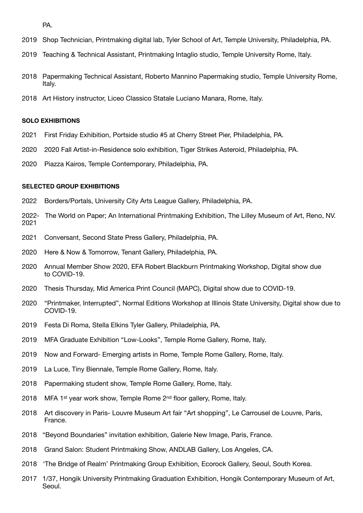PA.

- 2019 Shop Technician, Printmaking digital lab, Tyler School of Art, Temple University, Philadelphia, PA.
- 2019 Teaching & Technical Assistant, Printmaking Intaglio studio, Temple University Rome, Italy.
- 2018 Papermaking Technical Assistant, Roberto Mannino Papermaking studio, Temple University Rome, Italy.
- 2018 Art History instructor, Liceo Classico Statale Luciano Manara, Rome, Italy.

#### **SOLO EXHIBITIONS**

- 2021 First Friday Exhibition, Portside studio #5 at Cherry Street Pier, Philadelphia, PA.
- 2020 2020 Fall Artist-in-Residence solo exhibition, Tiger Strikes Asteroid, Philadelphia, PA.
- 2020 Piazza Kairos, Temple Contemporary, Philadelphia, PA.

#### **SELECTED GROUP EXHIBITIONS**

- 2022 Borders/Portals, University City Arts League Gallery, Philadelphia, PA.
- 2022- The World on Paper; An International Printmaking Exhibition, The Lilley Museum of Art, Reno, NV. 2021
- 2021 Conversant, Second State Press Gallery, Philadelphia, PA.
- 2020 Here & Now & Tomorrow, Tenant Gallery, Philadelphia, PA.
- 2020 Annual Member Show 2020, EFA Robert Blackburn Printmaking Workshop, Digital show due to COVID-19.
- 2020 Thesis Thursday, Mid America Print Council (MAPC), Digital show due to COVID-19.
- 2020 "Printmaker, Interrupted", Normal Editions Workshop at Illinois State University, Digital show due to COVID-19.
- 2019 Festa Di Roma, Stella Elkins Tyler Gallery, Philadelphia, PA.
- 2019 MFA Graduate Exhibition "Low-Looks", Temple Rome Gallery, Rome, Italy.
- 2019 Now and Forward- Emerging artists in Rome, Temple Rome Gallery, Rome, Italy.
- 2019 La Luce, Tiny Biennale, Temple Rome Gallery, Rome, Italy.
- 2018 Papermaking student show, Temple Rome Gallery, Rome, Italy.
- 2018 MFA 1<sup>st</sup> year work show, Temple Rome  $2<sup>nd</sup>$  floor gallery, Rome, Italy.
- 2018 Art discovery in Paris- Louvre Museum Art fair "Art shopping", Le Carrousel de Louvre, Paris, France.
- 2018 "Beyond Boundaries" invitation exhibition, Galerie New Image, Paris, France.
- 2018 Grand Salon: Student Printmaking Show, ANDLAB Gallery, Los Angeles, CA.
- 2018 'The Bridge of Realm' Printmaking Group Exhibition, Ecorock Gallery, Seoul, South Korea.
- 2017 1/37, Hongik University Printmaking Graduation Exhibition, Hongik Contemporary Museum of Art, Seoul.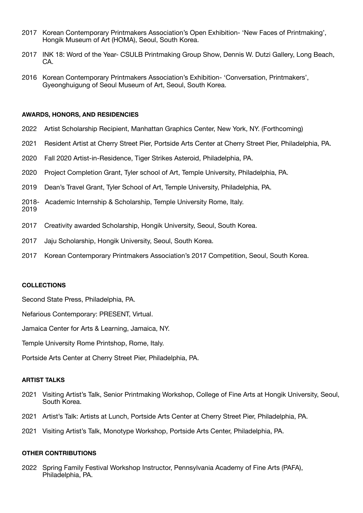- 2017 Korean Contemporary Printmakers Association's Open Exhibition- 'New Faces of Printmaking', Hongik Museum of Art (HOMA), Seoul, South Korea.
- 2017 INK 18: Word of the Year- CSULB Printmaking Group Show, Dennis W. Dutzi Gallery, Long Beach, CA.
- 2016 Korean Contemporary Printmakers Association's Exhibition- 'Conversation, Printmakers', Gyeonghuigung of Seoul Museum of Art, Seoul, South Korea.

#### **AWARDS, HONORS, AND RESIDENCIES**

- 2022 Artist Scholarship Recipient, Manhattan Graphics Center, New York, NY. (Forthcoming)
- 2021 Resident Artist at Cherry Street Pier, Portside Arts Center at Cherry Street Pier, Philadelphia, PA.
- 2020 Fall 2020 Artist-in-Residence, Tiger Strikes Asteroid, Philadelphia, PA.
- 2020 Project Completion Grant, Tyler school of Art, Temple University, Philadelphia, PA.
- 2019 Dean's Travel Grant, Tyler School of Art, Temple University, Philadelphia, PA.
- 2018- Academic Internship & Scholarship, Temple University Rome, Italy.
- 2019
- 2017 Creativity awarded Scholarship, Hongik University, Seoul, South Korea.
- 2017 Jaju Scholarship, Hongik University, Seoul, South Korea.
- 2017 Korean Contemporary Printmakers Association's 2017 Competition, Seoul, South Korea.

## **COLLECTIONS**

Second State Press, Philadelphia, PA.

Nefarious Contemporary: PRESENT, Virtual.

Jamaica Center for Arts & Learning, Jamaica, NY.

Temple University Rome Printshop, Rome, Italy.

Portside Arts Center at Cherry Street Pier, Philadelphia, PA.

## **ARTIST TALKS**

- 2021 Visiting Artist's Talk, Senior Printmaking Workshop, College of Fine Arts at Hongik University, Seoul, South Korea.
- 2021 Artist's Talk: Artists at Lunch, Portside Arts Center at Cherry Street Pier, Philadelphia, PA.
- 2021 Visiting Artist's Talk, Monotype Workshop, Portside Arts Center, Philadelphia, PA.

## **OTHER CONTRIBUTIONS**

2022 Spring Family Festival Workshop Instructor, Pennsylvania Academy of Fine Arts (PAFA), Philadelphia, PA.